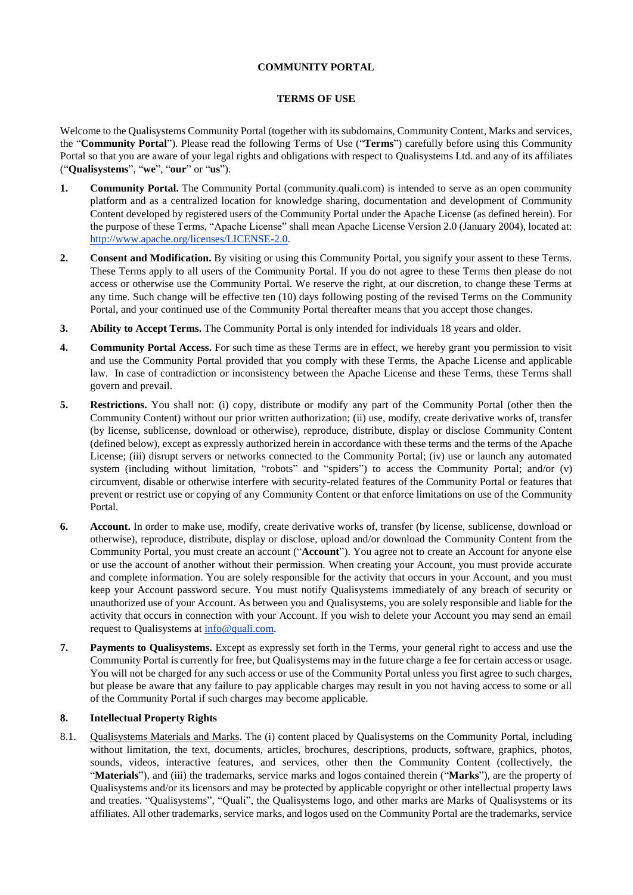## **COMMUNITY PORTAL**

## **TERMS OF USE**

Welcome to the Qualisystems Community Portal (together with its subdomains, Community Content, Marks and services, the "**Community Portal**"). Please read the following Terms of Use ("**Terms**") carefully before using this Community Portal so that you are aware of your legal rights and obligations with respect to Qualisystems Ltd. and any of its affiliates ("**Qualisystems**", "**we**", "**our**" or "**us**").

- **1. Community Portal.** The Community Portal (community.quali.com) is intended to serve as an open community platform and as a centralized location for knowledge sharing, documentation and development of Community Content developed by registered users of the Community Portal under the Apache License (as defined herein). For the purpose of these Terms, "Apache License" shall mean Apache License Version 2.0 (January 2004), located at: [http://www.apache.org/licenses/LICENSE-2.0.](http://www.apache.org/licenses/LICENSE-2.0)
- **2. Consent and Modification.** By visiting or using this Community Portal, you signify your assent to these Terms. These Terms apply to all users of the Community Portal. If you do not agree to these Terms then please do not access or otherwise use the Community Portal. We reserve the right, at our discretion, to change these Terms at any time. Such change will be effective ten (10) days following posting of the revised Terms on the Community Portal, and your continued use of the Community Portal thereafter means that you accept those changes.
- **3. Ability to Accept Terms.** The Community Portal is only intended for individuals 18 years and older.
- **4. Community Portal Access.** For such time as these Terms are in effect, we hereby grant you permission to visit and use the Community Portal provided that you comply with these Terms, the Apache License and applicable law. In case of contradiction or inconsistency between the Apache License and these Terms, these Terms shall govern and prevail.
- **5. Restrictions.** You shall not: (i) copy, distribute or modify any part of the Community Portal (other then the Community Content) without our prior written authorization; (ii) use, modify, create derivative works of, transfer (by license, sublicense, download or otherwise), reproduce, distribute, display or disclose Community Content (defined below), except as expressly authorized herein in accordance with these terms and the terms of the Apache License; (iii) disrupt servers or networks connected to the Community Portal; (iv) use or launch any automated system (including without limitation, "robots" and "spiders") to access the Community Portal; and/or (v) circumvent, disable or otherwise interfere with security-related features of the Community Portal or features that prevent or restrict use or copying of any Community Content or that enforce limitations on use of the Community Portal.
- **6. Account.** In order to make use, modify, create derivative works of, transfer (by license, sublicense, download or otherwise), reproduce, distribute, display or disclose, upload and/or download the Community Content from the Community Portal, you must create an account ("**Account**"). You agree not to create an Account for anyone else or use the account of another without their permission. When creating your Account, you must provide accurate and complete information. You are solely responsible for the activity that occurs in your Account, and you must keep your Account password secure. You must notify Qualisystems immediately of any breach of security or unauthorized use of your Account. As between you and Qualisystems, you are solely responsible and liable for the activity that occurs in connection with your Account. If you wish to delete your Account you may send an email request to Qualisystems at [info@quali.com.](mailto:info@qualisystems.com)
- **7. Payments to Qualisystems.** Except as expressly set forth in the Terms, your general right to access and use the Community Portal is currently for free, but Qualisystems may in the future charge a fee for certain access or usage. You will not be charged for any such access or use of the Community Portal unless you first agree to such charges, but please be aware that any failure to pay applicable charges may result in you not having access to some or all of the Community Portal if such charges may become applicable.

### **8. Intellectual Property Rights**

8.1. Qualisystems Materials and Marks. The (i) content placed by Qualisystems on the Community Portal, including without limitation, the text, documents, articles, brochures, descriptions, products, software, graphics, photos, sounds, videos, interactive features, and services, other then the Community Content (collectively, the "**Materials**"), and (iii) the trademarks, service marks and logos contained therein ("**Marks**"), are the property of Qualisystems and/or its licensors and may be protected by applicable copyright or other intellectual property laws and treaties. "Qualisystems", "Quali", the Qualisystems logo, and other marks are Marks of Qualisystems or its affiliates. All other trademarks, service marks, and logos used on the Community Portal are the trademarks, service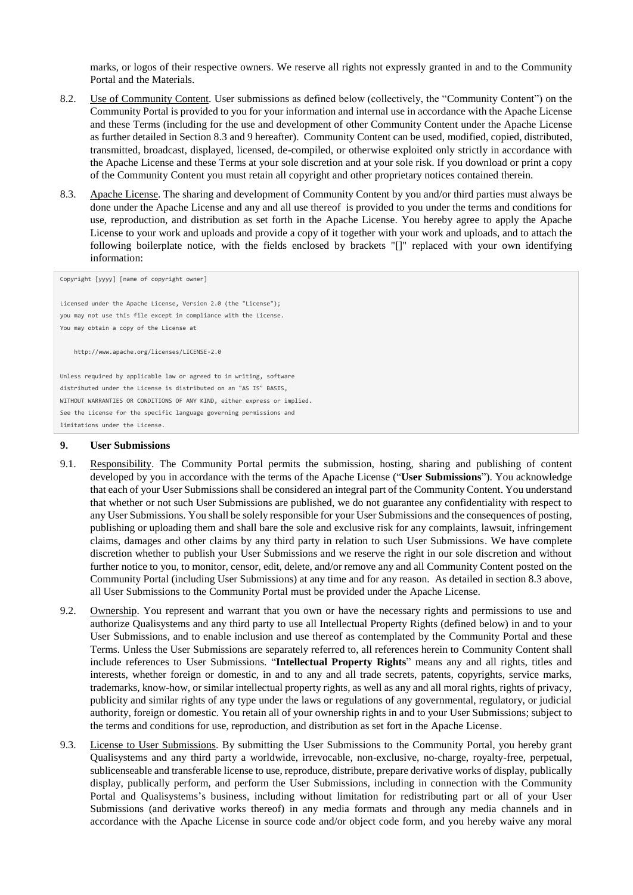marks, or logos of their respective owners. We reserve all rights not expressly granted in and to the Community Portal and the Materials.

- 8.2. Use of Community Content. User submissions as defined below (collectively, the "Community Content") on the Community Portal is provided to you for your information and internal use in accordance with the Apache License and these Terms (including for the use and development of other Community Content under the Apache License as further detailed in Section 8.3 and 9 hereafter). Community Content can be used, modified, copied, distributed, transmitted, broadcast, displayed, licensed, de-compiled, or otherwise exploited only strictly in accordance with the Apache License and these Terms at your sole discretion and at your sole risk. If you download or print a copy of the Community Content you must retain all copyright and other proprietary notices contained therein.
- 8.3. Apache License. The sharing and development of Community Content by you and/or third parties must always be done under the Apache License and any and all use thereof is provided to you under the terms and conditions for use, reproduction, and distribution as set forth in the Apache License. You hereby agree to apply the Apache License to your work and uploads and provide a copy of it together with your work and uploads, and to attach the following boilerplate notice, with the fields enclosed by brackets "[]" replaced with your own identifying information:

Copyright [yyyy] [name of copyright owner]

Licensed under the Apache License, Version 2.0 (the "License"); you may not use this file except in compliance with the License. You may obtain a copy of the License at

http://www.apache.org/licenses/LICENSE-2.0

Unless required by applicable law or agreed to in writing, software distributed under the License is distributed on an "AS IS" BASIS, WITHOUT WARRANTIES OR CONDITIONS OF ANY KIND, either express or implied. See the License for the specific language governing permissions and limitations under the License.

#### **9. User Submissions**

- 9.1. Responsibility. The Community Portal permits the submission, hosting, sharing and publishing of content developed by you in accordance with the terms of the Apache License ("**User Submissions**"). You acknowledge that each of your User Submissions shall be considered an integral part of the Community Content. You understand that whether or not such User Submissions are published, we do not guarantee any confidentiality with respect to any User Submissions. You shall be solely responsible for your User Submissions and the consequences of posting, publishing or uploading them and shall bare the sole and exclusive risk for any complaints, lawsuit, infringement claims, damages and other claims by any third party in relation to such User Submissions. We have complete discretion whether to publish your User Submissions and we reserve the right in our sole discretion and without further notice to you, to monitor, censor, edit, delete, and/or remove any and all Community Content posted on the Community Portal (including User Submissions) at any time and for any reason. As detailed in section 8.3 above, all User Submissions to the Community Portal must be provided under the Apache License.
- 9.2. Ownership. You represent and warrant that you own or have the necessary rights and permissions to use and authorize Qualisystems and any third party to use all Intellectual Property Rights (defined below) in and to your User Submissions, and to enable inclusion and use thereof as contemplated by the Community Portal and these Terms. Unless the User Submissions are separately referred to, all references herein to Community Content shall include references to User Submissions. "**Intellectual Property Rights**" means any and all rights, titles and interests, whether foreign or domestic, in and to any and all trade secrets, patents, copyrights, service marks, trademarks, know-how, or similar intellectual property rights, as well as any and all moral rights, rights of privacy, publicity and similar rights of any type under the laws or regulations of any governmental, regulatory, or judicial authority, foreign or domestic. You retain all of your ownership rights in and to your User Submissions; subject to the terms and conditions for use, reproduction, and distribution as set fort in the Apache License.
- 9.3. License to User Submissions. By submitting the User Submissions to the Community Portal, you hereby grant Qualisystems and any third party a worldwide, irrevocable, non-exclusive, no-charge, royalty-free, perpetual, sublicenseable and transferable license to use, reproduce, distribute, prepare derivative works of display, publically display, publically perform, and perform the User Submissions, including in connection with the Community Portal and Qualisystems's business, including without limitation for redistributing part or all of your User Submissions (and derivative works thereof) in any media formats and through any media channels and in accordance with the Apache License in source code and/or object code form, and you hereby waive any moral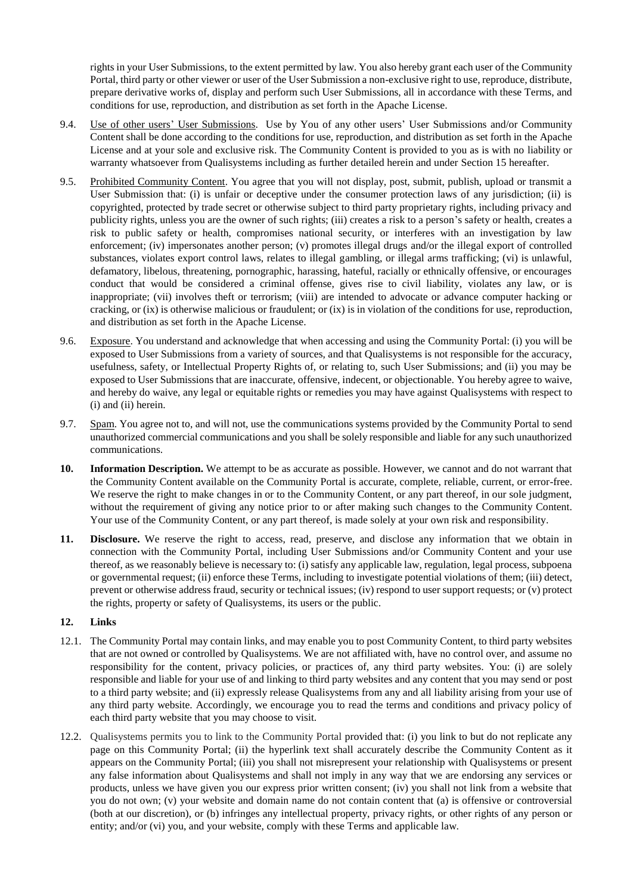rights in your User Submissions, to the extent permitted by law. You also hereby grant each user of the Community Portal, third party or other viewer or user of the User Submission a non-exclusive right to use, reproduce, distribute, prepare derivative works of, display and perform such User Submissions, all in accordance with these Terms, and conditions for use, reproduction, and distribution as set forth in the Apache License.

- 9.4. Use of other users' User Submissions. Use by You of any other users' User Submissions and/or Community Content shall be done according to the conditions for use, reproduction, and distribution as set forth in the Apache License and at your sole and exclusive risk. The Community Content is provided to you as is with no liability or warranty whatsoever from Qualisystems including as further detailed herein and under Section 15 hereafter.
- 9.5. Prohibited Community Content. You agree that you will not display, post, submit, publish, upload or transmit a User Submission that: (i) is unfair or deceptive under the consumer protection laws of any jurisdiction; (ii) is copyrighted, protected by trade secret or otherwise subject to third party proprietary rights, including privacy and publicity rights, unless you are the owner of such rights; (iii) creates a risk to a person's safety or health, creates a risk to public safety or health, compromises national security, or interferes with an investigation by law enforcement; (iv) impersonates another person; (v) promotes illegal drugs and/or the illegal export of controlled substances, violates export control laws, relates to illegal gambling, or illegal arms trafficking; (vi) is unlawful, defamatory, libelous, threatening, pornographic, harassing, hateful, racially or ethnically offensive, or encourages conduct that would be considered a criminal offense, gives rise to civil liability, violates any law, or is inappropriate; (vii) involves theft or terrorism; (viii) are intended to advocate or advance computer hacking or cracking, or (ix) is otherwise malicious or fraudulent; or  $(ix)$  is in violation of the conditions for use, reproduction, and distribution as set forth in the Apache License.
- 9.6. Exposure. You understand and acknowledge that when accessing and using the Community Portal: (i) you will be exposed to User Submissions from a variety of sources, and that Qualisystems is not responsible for the accuracy, usefulness, safety, or Intellectual Property Rights of, or relating to, such User Submissions; and (ii) you may be exposed to User Submissions that are inaccurate, offensive, indecent, or objectionable. You hereby agree to waive, and hereby do waive, any legal or equitable rights or remedies you may have against Qualisystems with respect to (i) and (ii) herein.
- 9.7. Spam. You agree not to, and will not, use the communications systems provided by the Community Portal to send unauthorized commercial communications and you shall be solely responsible and liable for any such unauthorized communications.
- **10. Information Description.** We attempt to be as accurate as possible. However, we cannot and do not warrant that the Community Content available on the Community Portal is accurate, complete, reliable, current, or error-free. We reserve the right to make changes in or to the Community Content, or any part thereof, in our sole judgment, without the requirement of giving any notice prior to or after making such changes to the Community Content. Your use of the Community Content, or any part thereof, is made solely at your own risk and responsibility.
- **11. Disclosure.** We reserve the right to access, read, preserve, and disclose any information that we obtain in connection with the Community Portal, including User Submissions and/or Community Content and your use thereof, as we reasonably believe is necessary to: (i) satisfy any applicable law, regulation, legal process, subpoena or governmental request; (ii) enforce these Terms, including to investigate potential violations of them; (iii) detect, prevent or otherwise address fraud, security or technical issues; (iv) respond to user support requests; or (v) protect the rights, property or safety of Qualisystems, its users or the public.

# **12. Links**

- 12.1. The Community Portal may contain links, and may enable you to post Community Content, to third party websites that are not owned or controlled by Qualisystems. We are not affiliated with, have no control over, and assume no responsibility for the content, privacy policies, or practices of, any third party websites. You: (i) are solely responsible and liable for your use of and linking to third party websites and any content that you may send or post to a third party website; and (ii) expressly release Qualisystems from any and all liability arising from your use of any third party website. Accordingly, we encourage you to read the terms and conditions and privacy policy of each third party website that you may choose to visit.
- 12.2. Qualisystems permits you to link to the Community Portal provided that: (i) you link to but do not replicate any page on this Community Portal; (ii) the hyperlink text shall accurately describe the Community Content as it appears on the Community Portal; (iii) you shall not misrepresent your relationship with Qualisystems or present any false information about Qualisystems and shall not imply in any way that we are endorsing any services or products, unless we have given you our express prior written consent; (iv) you shall not link from a website that you do not own; (v) your website and domain name do not contain content that (a) is offensive or controversial (both at our discretion), or (b) infringes any intellectual property, privacy rights, or other rights of any person or entity; and/or (vi) you, and your website, comply with these Terms and applicable law.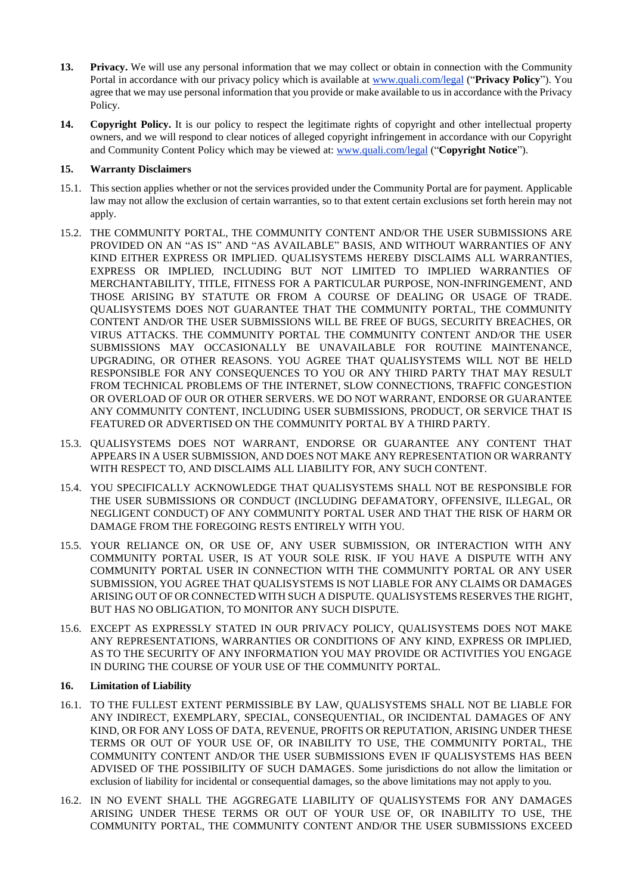- **13. Privacy.** We will use any personal information that we may collect or obtain in connection with the Community Portal in accordance with our privacy policy which is available at [www.quali.com/legal](http://www.quali.com/legal) ("**Privacy Policy**"). You agree that we may use personal information that you provide or make available to us in accordance with the Privacy Policy.
- **14. Copyright Policy.** It is our policy to respect the legitimate rights of copyright and other intellectual property owners, and we will respond to clear notices of alleged copyright infringement in accordance with our Copyright and Community Content Policy which may be viewed at: [www.quali.com/legal](http://www.quali.com/legal) ("**Copyright Notice**").

# **15. Warranty Disclaimers**

- 15.1. This section applies whether or not the services provided under the Community Portal are for payment. Applicable law may not allow the exclusion of certain warranties, so to that extent certain exclusions set forth herein may not apply.
- 15.2. THE COMMUNITY PORTAL, THE COMMUNITY CONTENT AND/OR THE USER SUBMISSIONS ARE PROVIDED ON AN "AS IS" AND "AS AVAILABLE" BASIS, AND WITHOUT WARRANTIES OF ANY KIND EITHER EXPRESS OR IMPLIED. QUALISYSTEMS HEREBY DISCLAIMS ALL WARRANTIES, EXPRESS OR IMPLIED, INCLUDING BUT NOT LIMITED TO IMPLIED WARRANTIES OF MERCHANTABILITY, TITLE, FITNESS FOR A PARTICULAR PURPOSE, NON-INFRINGEMENT, AND THOSE ARISING BY STATUTE OR FROM A COURSE OF DEALING OR USAGE OF TRADE. QUALISYSTEMS DOES NOT GUARANTEE THAT THE COMMUNITY PORTAL, THE COMMUNITY CONTENT AND/OR THE USER SUBMISSIONS WILL BE FREE OF BUGS, SECURITY BREACHES, OR VIRUS ATTACKS. THE COMMUNITY PORTAL THE COMMUNITY CONTENT AND/OR THE USER SUBMISSIONS MAY OCCASIONALLY BE UNAVAILABLE FOR ROUTINE MAINTENANCE, UPGRADING, OR OTHER REASONS. YOU AGREE THAT QUALISYSTEMS WILL NOT BE HELD RESPONSIBLE FOR ANY CONSEQUENCES TO YOU OR ANY THIRD PARTY THAT MAY RESULT FROM TECHNICAL PROBLEMS OF THE INTERNET, SLOW CONNECTIONS, TRAFFIC CONGESTION OR OVERLOAD OF OUR OR OTHER SERVERS. WE DO NOT WARRANT, ENDORSE OR GUARANTEE ANY COMMUNITY CONTENT, INCLUDING USER SUBMISSIONS, PRODUCT, OR SERVICE THAT IS FEATURED OR ADVERTISED ON THE COMMUNITY PORTAL BY A THIRD PARTY.
- 15.3. QUALISYSTEMS DOES NOT WARRANT, ENDORSE OR GUARANTEE ANY CONTENT THAT APPEARS IN A USER SUBMISSION, AND DOES NOT MAKE ANY REPRESENTATION OR WARRANTY WITH RESPECT TO, AND DISCLAIMS ALL LIABILITY FOR, ANY SUCH CONTENT.
- 15.4. YOU SPECIFICALLY ACKNOWLEDGE THAT QUALISYSTEMS SHALL NOT BE RESPONSIBLE FOR THE USER SUBMISSIONS OR CONDUCT (INCLUDING DEFAMATORY, OFFENSIVE, ILLEGAL, OR NEGLIGENT CONDUCT) OF ANY COMMUNITY PORTAL USER AND THAT THE RISK OF HARM OR DAMAGE FROM THE FOREGOING RESTS ENTIRELY WITH YOU.
- 15.5. YOUR RELIANCE ON, OR USE OF, ANY USER SUBMISSION, OR INTERACTION WITH ANY COMMUNITY PORTAL USER, IS AT YOUR SOLE RISK. IF YOU HAVE A DISPUTE WITH ANY COMMUNITY PORTAL USER IN CONNECTION WITH THE COMMUNITY PORTAL OR ANY USER SUBMISSION, YOU AGREE THAT QUALISYSTEMS IS NOT LIABLE FOR ANY CLAIMS OR DAMAGES ARISING OUT OF OR CONNECTED WITH SUCH A DISPUTE. QUALISYSTEMS RESERVES THE RIGHT, BUT HAS NO OBLIGATION, TO MONITOR ANY SUCH DISPUTE.
- 15.6. EXCEPT AS EXPRESSLY STATED IN OUR PRIVACY POLICY, QUALISYSTEMS DOES NOT MAKE ANY REPRESENTATIONS, WARRANTIES OR CONDITIONS OF ANY KIND, EXPRESS OR IMPLIED, AS TO THE SECURITY OF ANY INFORMATION YOU MAY PROVIDE OR ACTIVITIES YOU ENGAGE IN DURING THE COURSE OF YOUR USE OF THE COMMUNITY PORTAL.

### **16. Limitation of Liability**

- 16.1. TO THE FULLEST EXTENT PERMISSIBLE BY LAW, QUALISYSTEMS SHALL NOT BE LIABLE FOR ANY INDIRECT, EXEMPLARY, SPECIAL, CONSEQUENTIAL, OR INCIDENTAL DAMAGES OF ANY KIND, OR FOR ANY LOSS OF DATA, REVENUE, PROFITS OR REPUTATION, ARISING UNDER THESE TERMS OR OUT OF YOUR USE OF, OR INABILITY TO USE, THE COMMUNITY PORTAL, THE COMMUNITY CONTENT AND/OR THE USER SUBMISSIONS EVEN IF QUALISYSTEMS HAS BEEN ADVISED OF THE POSSIBILITY OF SUCH DAMAGES. Some jurisdictions do not allow the limitation or exclusion of liability for incidental or consequential damages, so the above limitations may not apply to you.
- 16.2. IN NO EVENT SHALL THE AGGREGATE LIABILITY OF QUALISYSTEMS FOR ANY DAMAGES ARISING UNDER THESE TERMS OR OUT OF YOUR USE OF, OR INABILITY TO USE, THE COMMUNITY PORTAL, THE COMMUNITY CONTENT AND/OR THE USER SUBMISSIONS EXCEED